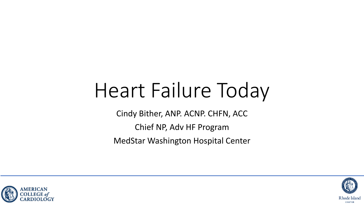# Heart Failure Today

Cindy Bither, ANP. ACNP. CHFN, ACC

Chief NP, Adv HF Program

MedStar Washington Hospital Center



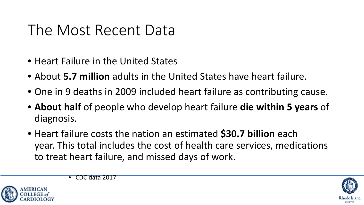### The Most Recent Data

- Heart Failure in the United States
- About **5.7 million** adults in the United States have heart failure.
- One in 9 deaths in 2009 included heart failure as contributing cause.
- **About half** of people who develop heart failure **die within 5 years** of diagnosis.
- Heart failure costs the nation an estimated **\$30.7 billion** each year. This total includes the cost of health care services, medications to treat heart failure, and missed days of work.



• CDC data 2017

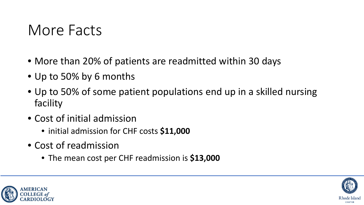### More Facts

- More than 20% of patients are readmitted within 30 days
- Up to 50% by 6 months
- Up to 50% of some patient populations end up in a skilled nursing facility
- Cost of initial admission
	- initial admission for CHF costs **\$11,000**
- Cost of readmission
	- The mean cost per CHF readmission is **\$13,000**



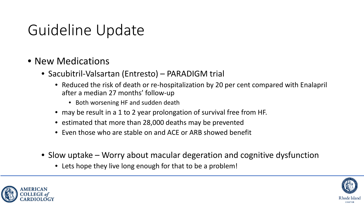### Guideline Update

- New Medications
	- Sacubitril-Valsartan (Entresto) PARADIGM trial
		- Reduced the risk of death or re-hospitalization by 20 per cent compared with Enalapril after a median 27 months' follow-up
			- Both worsening HF and sudden death
		- may be result in a 1 to 2 year prolongation of survival free from HF.
		- estimated that more than 28,000 deaths may be prevented
		- Even those who are stable on and ACE or ARB showed benefit
	- Slow uptake Worry about macular degeration and cognitive dysfunction
		- Lets hope they live long enough for that to be a problem!



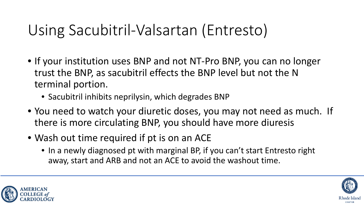# Using Sacubitril-Valsartan (Entresto)

- If your institution uses BNP and not NT-Pro BNP, you can no longer trust the BNP, as sacubitril effects the BNP level but not the N terminal portion.
	- Sacubitril inhibits neprilysin, which degrades BNP
- You need to watch your diuretic doses, you may not need as much. If there is more circulating BNP, you should have more diuresis
- Wash out time required if pt is on an ACE
	- In a newly diagnosed pt with marginal BP, if you can't start Entresto right away, start and ARB and not an ACE to avoid the washout time.



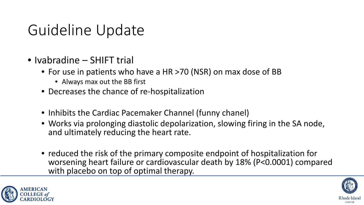### Guideline Update

- Ivabradine SHIFT trial
	- For use in patients who have a HR >70 (NSR) on max dose of BB
		- Always max out the BB first
	- Decreases the chance of re-hospitalization
	- Inhibits the Cardiac Pacemaker Channel (funny chanel)
	- Works via prolonging diastolic depolarization, slowing firing in the SA node, and ultimately reducing the heart rate.
	- reduced the risk of the primary composite endpoint of hospitalization for worsening heart failure or cardiovascular death by 18% (P<0.0001) compared with placebo on top of optimal therapy.



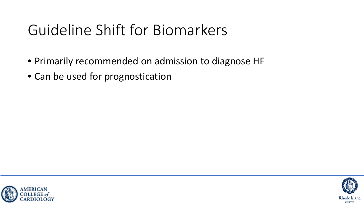### Guideline Shift for Biomarkers

- Primarily recommended on admission to diagnose HF
- Can be used for prognostication



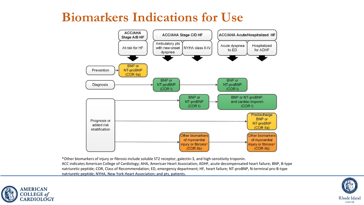#### **Biomarkers Indications for Use**



\*Other biomarkers of injury or fibrosis include soluble ST2 receptor, galectin-3, and high-sensitivity troponin. ACC indicates American College of Cardiology; AHA, American Heart Association; ADHF, acute decompensated heart failure; BNP, B-type natriuretic peptide; COR, Class of Recommendation; ED, emergency department; HF, heart failure; NT-proBNP, N-terminal pro-B-type natriuretic peptide; NYHA, New York Heart Association; and pts, patients.



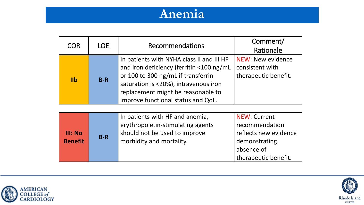#### **Anemia**

| <b>COR</b> | LOE.  | <b>Recommendations</b>                                                                                                                                                                                                                           | Comment/<br>Rationale                                               |
|------------|-------|--------------------------------------------------------------------------------------------------------------------------------------------------------------------------------------------------------------------------------------------------|---------------------------------------------------------------------|
| $I$ l $b$  | $B-R$ | In patients with NYHA class II and III HF<br>and iron deficiency (ferritin <100 ng/mL<br>or 100 to 300 ng/mL if transferrin<br>saturation is <20%), intravenous iron<br>replacement might be reasonable to<br>improve functional status and QoL. | <b>NEW: New evidence</b><br>consistent with<br>therapeutic benefit. |

| <b>III: No</b><br><b>Benefit</b> | $B-R$ | In patients with HF and anemia,<br>erythropoietin-stimulating agents<br>should not be used to improve<br>morbidity and mortality. | <b>NEW: Current</b><br>recommendation<br>reflects new evidence<br>demonstrating<br>absence of<br>therapeutic benefit. |
|----------------------------------|-------|-----------------------------------------------------------------------------------------------------------------------------------|-----------------------------------------------------------------------------------------------------------------------|
|----------------------------------|-------|-----------------------------------------------------------------------------------------------------------------------------------|-----------------------------------------------------------------------------------------------------------------------|



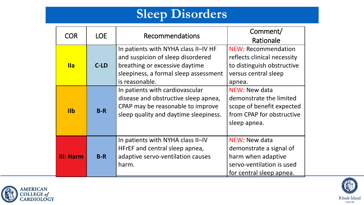#### **Sleep Disorders**

| <b>COR</b>      | <b>LOE</b> | <b>Recommendations</b>                                                                                                                                                 | Comment/<br>Rationale                                                                                                     |
|-----------------|------------|------------------------------------------------------------------------------------------------------------------------------------------------------------------------|---------------------------------------------------------------------------------------------------------------------------|
| <b>Ila</b>      | C-LD       | In patients with NYHA class II-IV HF<br>and suspicion of sleep disordered<br>breathing or excessive daytime<br>sleepiness, a formal sleep assessment<br>is reasonable. | <b>NEW: Recommendation</b><br>reflects clinical necessity<br>to distinguish obstructive<br>versus central sleep<br>apnea. |
| I <sub>II</sub> | $B-R$      | In patients with cardiovascular<br>disease and obstructive sleep apnea,<br>CPAP may be reasonable to improve<br>sleep quality and daytime sleepiness.                  | NEW: New data<br>demonstrate the limited<br>scope of benefit expected<br>from CPAP for obstructive<br>sleep apnea.        |
| III: Harm       | $B-R$      | In patients with NYHA class II-IV<br>HFrEF and central sleep apnea,<br>adaptive servo-ventilation causes<br>harm.                                                      | NEW: New data<br>demonstrate a signal of<br>harm when adaptive<br>servo-ventilation is used<br>for central sleep apnea.   |



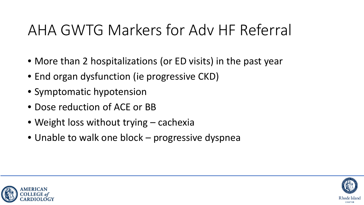### AHA GWTG Markers for Adv HF Referral

- More than 2 hospitalizations (or ED visits) in the past year
- End organ dysfunction (ie progressive CKD)
- Symptomatic hypotension
- Dose reduction of ACE or BB
- Weight loss without trying cachexia
- Unable to walk one block progressive dyspnea



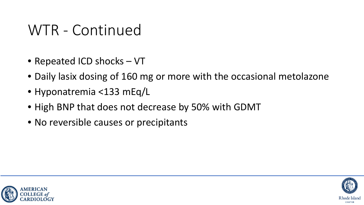### WTR - Continued

- Repeated ICD shocks VT
- Daily lasix dosing of 160 mg or more with the occasional metolazone
- Hyponatremia <133 mEq/L
- High BNP that does not decrease by 50% with GDMT
- No reversible causes or precipitants



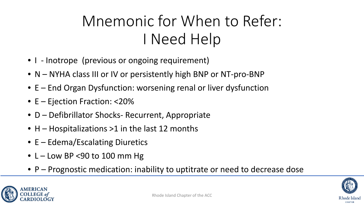# Mnemonic for When to Refer: I Need Help

- I Inotrope (previous or ongoing requirement)
- N NYHA class III or IV or persistently high BNP or NT-pro-BNP
- E End Organ Dysfunction: worsening renal or liver dysfunction
- E Ejection Fraction: <20%
- D Defibrillator Shocks- Recurrent, Appropriate
- H Hospitalizations >1 in the last 12 months
- E Edema/Escalating Diuretics
- $L Low BP < 90$  to 100 mm Hg
- P Prognostic medication: inability to uptitrate or need to decrease dose



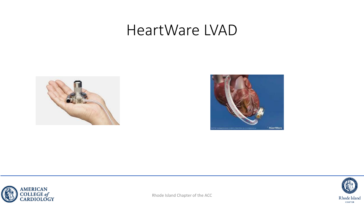### HeartWare LVAD







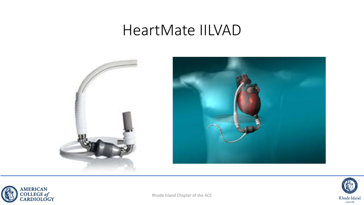#### HeartMate IILVAD







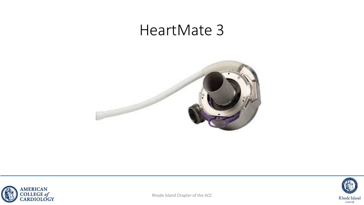### HeartMate 3